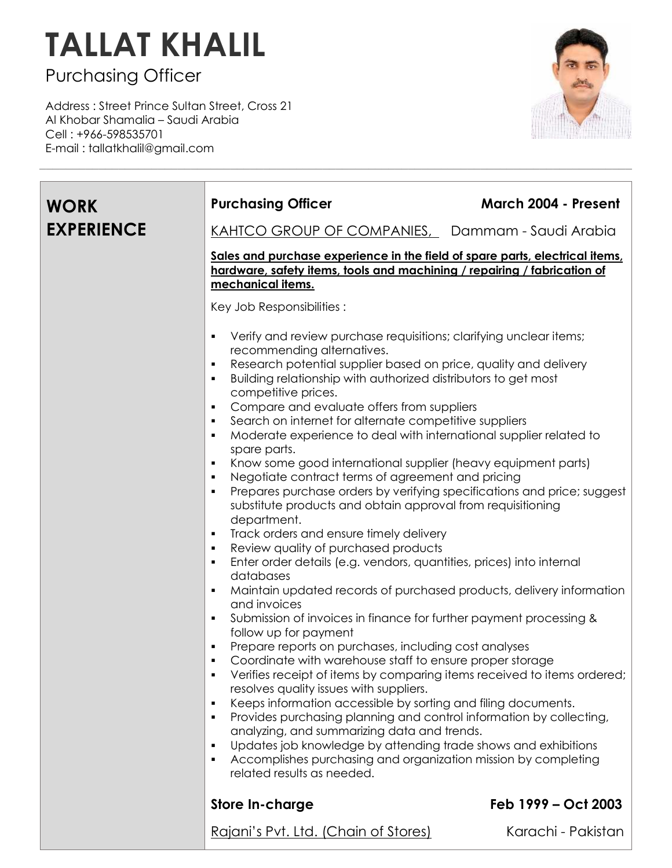## **TALLAT KHALIL**

Purchasing Officer

Address : Street Prince Sultan Street, Cross 21 Al Khobar Shamalia – Saudi Arabia Cell : +966-598535701 E-mail : tallatkhalil@gmail.com



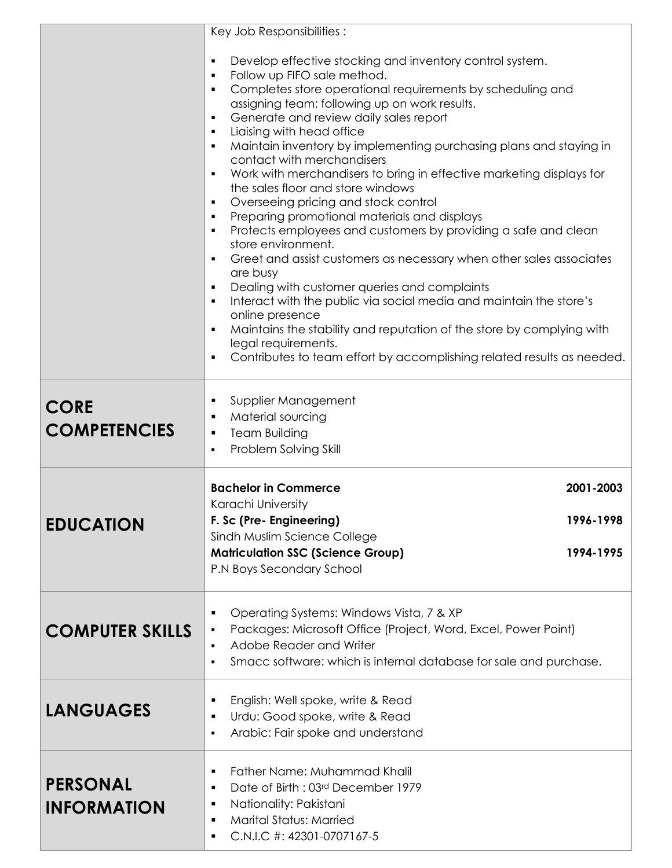|                                       | Key Job Responsibilities:<br>Develop effective stocking and inventory control system.<br>$\blacksquare$<br>Follow up FIFO sale method.<br>٠<br>Completes store operational requirements by scheduling and<br>٠                                                                                                                 |                                     |
|---------------------------------------|--------------------------------------------------------------------------------------------------------------------------------------------------------------------------------------------------------------------------------------------------------------------------------------------------------------------------------|-------------------------------------|
|                                       | assigning team; following up on work results.<br>Generate and review daily sales report<br>Liaising with head office<br>٠<br>Maintain inventory by implementing purchasing plans and staying in<br>٠                                                                                                                           |                                     |
|                                       | contact with merchandisers<br>Work with merchandisers to bring in effective marketing displays for<br>$\blacksquare$<br>the sales floor and store windows<br>Overseeing pricing and stock control<br>٠<br>Preparing promotional materials and displays<br>٠                                                                    |                                     |
|                                       | Protects employees and customers by providing a safe and clean<br>٠<br>store environment.<br>Greet and assist customers as necessary when other sales associates<br>$\blacksquare$<br>are busy                                                                                                                                 |                                     |
|                                       | Dealing with customer queries and complaints<br>٠<br>Interact with the public via social media and maintain the store's<br>online presence<br>Maintains the stability and reputation of the store by complying with<br>٠<br>legal requirements.<br>Contributes to team effort by accomplishing related results as needed.<br>٠ |                                     |
| <b>CORE</b><br><b>COMPETENCIES</b>    | Supplier Management<br>п<br>Material sourcing<br>٠<br><b>Team Building</b><br>٠<br>Problem Solving Skill<br>$\blacksquare$                                                                                                                                                                                                     |                                     |
| <b>EDUCATION</b>                      | <b>Bachelor in Commerce</b><br>Karachi University<br>F. Sc (Pre- Engineering)<br>Sindh Muslim Science College<br><b>Matriculation SSC (Science Group)</b><br>P.N Boys Secondary School                                                                                                                                         | 2001-2003<br>1996-1998<br>1994-1995 |
| <b>COMPUTER SKILLS</b>                | Operating Systems: Windows Vista, 7 & XP<br>Packages: Microsoft Office (Project, Word, Excel, Power Point)<br>Adobe Reader and Writer<br>$\blacksquare$<br>Smacc software: which is internal database for sale and purchase.<br>$\blacksquare$                                                                                 |                                     |
| <b>LANGUAGES</b>                      | English: Well spoke, write & Read<br>٠<br>Urdu: Good spoke, write & Read<br>Arabic: Fair spoke and understand<br>$\blacksquare$                                                                                                                                                                                                |                                     |
| <b>PERSONAL</b><br><b>INFORMATION</b> | Father Name: Muhammad Khalil<br>٠<br>Date of Birth: 03rd December 1979<br>٠<br>Nationality: Pakistani<br>٠<br><b>Marital Status: Married</b><br>٠<br>C.N.I.C #: 42301-0707167-5<br>٠                                                                                                                                           |                                     |